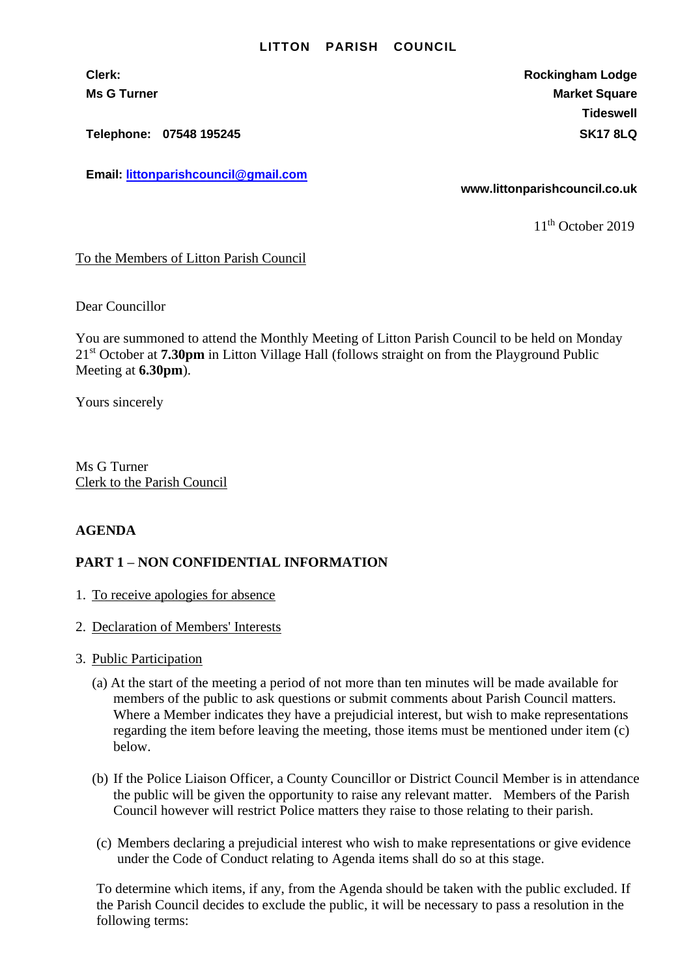## **LITTON PARISH COUNCIL**

**Clerk: Rockingham Lodge Ms G Turner Market Square** Market Square Market Square Market Square **Tideswell**

**Telephone: 07548 195245 SK17 8LQ**

**Email: [littonparishcouncil@gmail.com](mailto:littonparishcouncil@gmail.com)**

**www.littonparishcouncil.co.uk**

11<sup>th</sup> October 2019

## To the Members of Litton Parish Council

Dear Councillor

You are summoned to attend the Monthly Meeting of Litton Parish Council to be held on Monday 21 st October at **7.30pm** in Litton Village Hall (follows straight on from the Playground Public Meeting at **6.30pm**).

Yours sincerely

Ms G Turner Clerk to the Parish Council

## **AGENDA**

## **PART 1 – NON CONFIDENTIAL INFORMATION**

- 1. To receive apologies for absence
- 2. Declaration of Members' Interests
- 3. Public Participation
	- (a) At the start of the meeting a period of not more than ten minutes will be made available for members of the public to ask questions or submit comments about Parish Council matters. Where a Member indicates they have a prejudicial interest, but wish to make representations regarding the item before leaving the meeting, those items must be mentioned under item (c) below.
	- (b) If the Police Liaison Officer, a County Councillor or District Council Member is in attendance the public will be given the opportunity to raise any relevant matter. Members of the Parish Council however will restrict Police matters they raise to those relating to their parish.
	- (c) Members declaring a prejudicial interest who wish to make representations or give evidence under the Code of Conduct relating to Agenda items shall do so at this stage.

To determine which items, if any, from the Agenda should be taken with the public excluded. If the Parish Council decides to exclude the public, it will be necessary to pass a resolution in the following terms: